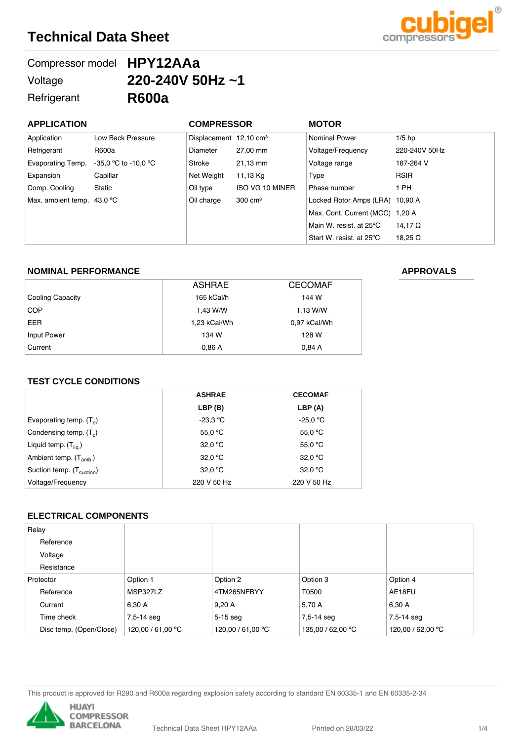# **Technical Data Sheet**



| Compressor model HPY12AAa |                        |
|---------------------------|------------------------|
| Voltage                   | 220-240V 50Hz $\sim$ 1 |
| Refrigerant               | <b>R600a</b>           |

| <b>APPLICATION</b>                  |                        | <b>COMPRESSOR</b>                  |                    | <b>MOTOR</b>                    |                |
|-------------------------------------|------------------------|------------------------------------|--------------------|---------------------------------|----------------|
| Application                         | Low Back Pressure      | Displacement 12,10 cm <sup>3</sup> |                    | <b>Nominal Power</b>            | $1/5$ hp       |
| Refrigerant                         | R600a                  | Diameter                           | 27,00 mm           | Voltage/Frequency               | 220-240V 50Hz  |
| Evaporating Temp.                   | $-35.0$ °C to -10.0 °C | Stroke                             | 21,13 mm           | Voltage range                   | 187-264 V      |
| Expansion                           | Capillar               | Net Weight                         | 11,13 Kg           | Type                            | <b>RSIR</b>    |
| Comp. Cooling                       | Static                 | Oil type                           | ISO VG 10 MINER    | Phase number                    | 1 PH           |
| Max. ambient temp. $43.0^{\circ}$ C |                        | Oil charge                         | $300 \text{ cm}^3$ | Locked Rotor Amps (LRA) 10,90 A |                |
|                                     |                        |                                    |                    | Max. Cont. Current (MCC) 1.20 A |                |
|                                     |                        |                                    |                    | Main W. resist. at 25°C         | 14.17 $\Omega$ |
|                                     |                        |                                    |                    | Start W. resist. at 25°C        | 18.25 $\Omega$ |

#### **NOMINAL PERFORMANCE**

|                  | <b>ASHRAE</b> | <b>CECOMAF</b> |
|------------------|---------------|----------------|
| Cooling Capacity | 165 kCal/h    | 144 W          |
| <b>COP</b>       | 1,43 W/W      | 1.13 W/W       |
| <b>EER</b>       | 1,23 kCal/Wh  | 0,97 kCal/Wh   |
| Input Power      | 134 W         | 128 W          |
| Current          | 0,86A         | 0,84A          |

#### **TEST CYCLE CONDITIONS**

|                                       | <b>ASHRAE</b>             | <b>CECOMAF</b>             |
|---------------------------------------|---------------------------|----------------------------|
|                                       | LBP(B)                    | LBP (A)                    |
| Evaporating temp. $(T_{\alpha})$      | $-23.3 °C$                | -25,0 $\mathrm{^{\circ}C}$ |
| Condensing temp. $(T_c)$              | 55,0 $\mathrm{^{\circ}C}$ | 55,0 $\mathrm{^{\circ}C}$  |
| Liquid temp. (T <sub>lia.</sub> )     | 32.0 °C                   | 55,0 $\mathrm{^{\circ}C}$  |
| Ambient temp. $(T_{amb.})$            | 32.0 °C                   | 32.0 °C                    |
| Suction temp. (T <sub>suction</sub> ) | 32.0 °C                   | 32.0 °C                    |
| Voltage/Frequency                     | 220 V 50 Hz               | 220 V 50 Hz                |

### **ELECTRICAL COMPONENTS**

| Relay                   |                   |                   |                   |                   |
|-------------------------|-------------------|-------------------|-------------------|-------------------|
| Reference               |                   |                   |                   |                   |
| Voltage                 |                   |                   |                   |                   |
| Resistance              |                   |                   |                   |                   |
| Protector               | Option 1          | Option 2          | Option 3          | Option 4          |
| Reference               | MSP327LZ          | 4TM265NFBYY       | T0500             | AE18FU            |
| Current                 | 6,30 A            | 9,20A             | 5,70 A            | 6,30 A            |
| Time check              | 7,5-14 seg        | $5-15$ seq        | 7,5-14 seq        | 7,5-14 seg        |
| Disc temp. (Open/Close) | 120,00 / 61,00 °C | 120,00 / 61,00 °C | 135,00 / 62,00 °C | 120,00 / 62,00 °C |

This product is approved for R290 and R600a regarding explosion safety according to standard EN 60335-1 and EN 60335-2-34



### **APPROVALS**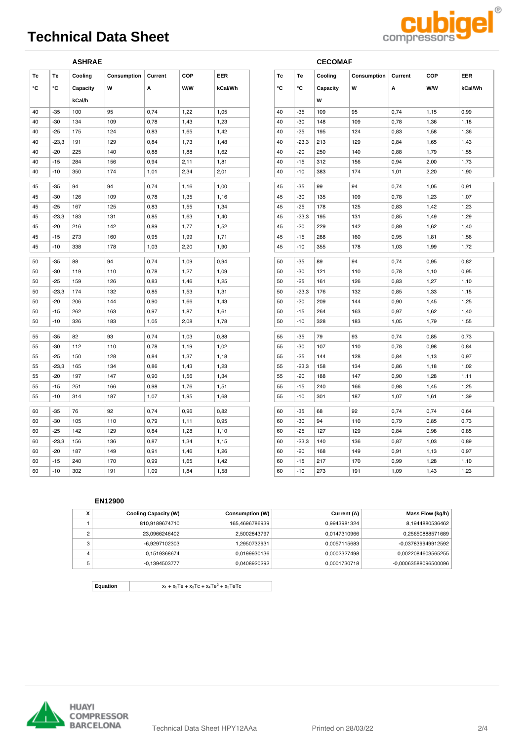# **Technical Data Sheet**



|    |         | <b>ASHRAE</b> |             |         |            |            |    |         | <b>CECOMAF</b> |             |         |      |      |
|----|---------|---------------|-------------|---------|------------|------------|----|---------|----------------|-------------|---------|------|------|
| Tc | Te      | Cooling       | Consumption | Current | <b>COP</b> | <b>EER</b> | Tc | Te      | Cooling        | Consumption | Current | COP  | EEF  |
| ۰c | ۰c      | Capacity      | W           | А       | W/W        | kCal/Wh    | °C | °C      | Capacity       | W           | Α       | W/W  | kCa  |
|    |         | kCal/h        |             |         |            |            |    |         | w              |             |         |      |      |
| 40 | $-35$   | 100           | 95          | 0,74    | 1,22       | 1,05       | 40 | $-35$   | 109            | 95          | 0,74    | 1,15 | 0,99 |
| 40 | $-30$   | 134           | 109         | 0,78    | 1,43       | 1,23       | 40 | $-30$   | 148            | 109         | 0,78    | 1,36 | 1,18 |
| 40 | $-25$   | 175           | 124         | 0,83    | 1,65       | 1,42       | 40 | $-25$   | 195            | 124         | 0,83    | 1,58 | 1,36 |
| 40 | $-23,3$ | 191           | 129         | 0,84    | 1,73       | 1,48       | 40 | $-23,3$ | 213            | 129         | 0,84    | 1,65 | 1,43 |
| 40 | $-20$   | 225           | 140         | 0,88    | 1,88       | 1,62       | 40 | $-20$   | 250            | 140         | 0,88    | 1,79 | 1,55 |
| 40 | $-15$   | 284           | 156         | 0,94    | 2,11       | 1,81       | 40 | $-15$   | 312            | 156         | 0,94    | 2,00 | 1,73 |
| 40 | $-10$   | 350           | 174         | 1,01    | 2,34       | 2,01       | 40 | $-10$   | 383            | 174         | 1,01    | 2,20 | 1,90 |
| 45 | $-35$   | 94            | 94          | 0,74    | 1,16       | 1,00       | 45 | $-35$   | 99             | 94          | 0,74    | 1,05 | 0,91 |
| 45 | $-30$   | 126           | 109         | 0,78    | 1,35       | 1,16       | 45 | $-30$   | 135            | 109         | 0,78    | 1,23 | 1,07 |
| 45 | $-25$   | 167           | 125         | 0,83    | 1,55       | 1,34       | 45 | $-25$   | 178            | 125         | 0,83    | 1,42 | 1,23 |
| 45 | $-23,3$ | 183           | 131         | 0,85    | 1,63       | 1,40       | 45 | $-23,3$ | 195            | 131         | 0,85    | 1,49 | 1,29 |
| 45 | $-20$   | 216           | 142         | 0,89    | 1,77       | 1,52       | 45 | $-20$   | 229            | 142         | 0,89    | 1,62 | 1,40 |
| 45 | $-15$   | 273           | 160         | 0,95    | 1,99       | 1,71       | 45 | $-15$   | 288            | 160         | 0,95    | 1,81 | 1,56 |
| 45 | $-10$   | 338           | 178         | 1,03    | 2,20       | 1,90       | 45 | $-10$   | 355            | 178         | 1,03    | 1,99 | 1,72 |
| 50 | $-35$   | 88            | 94          | 0,74    | 1,09       | 0,94       | 50 | -35     | 89             | 94          | 0,74    | 0,95 | 0,82 |
| 50 | $-30$   | 119           | 110         | 0,78    | 1,27       | 1,09       | 50 | $-30$   | 121            | 110         | 0,78    | 1,10 | 0,95 |
| 50 | $-25$   | 159           | 126         | 0,83    | 1,46       | 1,25       | 50 | $-25$   | 161            | 126         | 0,83    | 1,27 | 1,10 |
| 50 | $-23,3$ | 174           | 132         | 0,85    | 1,53       | 1,31       | 50 | $-23,3$ | 176            | 132         | 0,85    | 1,33 | 1,15 |
| 50 | $-20$   | 206           | 144         | 0,90    | 1,66       | 1,43       | 50 | $-20$   | 209            | 144         | 0,90    | 1,45 | 1,25 |
| 50 | $-15$   | 262           | 163         | 0,97    | 1,87       | 1,61       | 50 | -15     | 264            | 163         | 0,97    | 1,62 | 1,40 |
| 50 | $-10$   | 326           | 183         | 1,05    | 2,08       | 1,78       | 50 | $-10$   | 328            | 183         | 1,05    | 1,79 | 1,55 |
|    |         |               |             |         |            |            |    |         |                |             |         |      |      |
| 55 | $-35$   | 82            | 93          | 0,74    | 1,03       | 0,88       | 55 | $-35$   | 79             | 93          | 0,74    | 0,85 | 0,73 |
| 55 | $-30$   | 112           | 110         | 0,78    | 1,19       | 1,02       | 55 | $-30$   | 107            | 110         | 0,78    | 0,98 | 0,84 |
| 55 | $-25$   | 150           | 128         | 0,84    | 1,37       | 1,18       | 55 | -25     | 144            | 128         | 0,84    | 1,13 | 0,97 |
| 55 | $-23,3$ | 165           | 134         | 0,86    | 1,43       | 1,23       | 55 | $-23,3$ | 158            | 134         | 0,86    | 1,18 | 1,02 |
| 55 | $-20$   | 197           | 147         | 0,90    | 1,56       | 1,34       | 55 | $-20$   | 188            | 147         | 0,90    | 1,28 | 1,11 |
| 55 | $-15$   | 251           | 166         | 0,98    | 1,76       | 1,51       | 55 | $-15$   | 240            | 166         | 0,98    | 1,45 | 1,25 |
| 55 | $-10$   | 314           | 187         | 1,07    | 1,95       | 1,68       | 55 | $-10$   | 301            | 187         | 1,07    | 1,61 | 1,39 |
| 60 | $-35$   | 76            | 92          | 0,74    | 0,96       | 0,82       | 60 | $-35$   | 68             | 92          | 0,74    | 0,74 | 0,64 |
| 60 | $-30$   | 105           | 110         | 0,79    | 1,11       | 0,95       | 60 | $-30$   | 94             | 110         | 0,79    | 0,85 | 0,73 |
| 60 | $-25$   | 142           | 129         | 0,84    | 1,28       | 1,10       | 60 | $-25$   | 127            | 129         | 0,84    | 0,98 | 0,85 |
| 60 | $-23.3$ | 156           | 136         | 0,87    | 1,34       | 1,15       | 60 | $-23,3$ | 140            | 136         | 0,87    | 1,03 | 0,89 |
| 60 | $-20$   | 187           | 149         | 0,91    | 1,46       | 1,26       | 60 | $-20$   | 168            | 149         | 0,91    | 1,13 | 0,97 |
| 60 | $-15$   | 240           | 170         | 0,99    | 1,65       | 1,42       | 60 | $-15$   | 217            | 170         | 0,99    | 1,28 | 1,10 |
| 60 | $-10$   | 302           | 191         | 1,09    | 1,84       | 1,58       | 60 | $-10$   | 273            | 191         | 1,09    | 1,43 | 1,23 |

|    |         | <b>CECOMAF</b> |             |         |      |         |
|----|---------|----------------|-------------|---------|------|---------|
| Тc | Te      | Cooling        | Consumption | Current | COP  | EER     |
| ۰c | ۰c      | Capacity       | W           | Α       | W/W  | kCal/Wh |
|    |         | W              |             |         |      |         |
| 40 | $-35$   | 109            | 95          | 0,74    | 1,15 | 0,99    |
| 40 | $-30$   | 148            | 109         | 0,78    | 1,36 | 1,18    |
| 40 | $-25$   | 195            | 124         | 0,83    | 1,58 | 1,36    |
| 40 | $-23,3$ | 213            | 129         | 0,84    | 1,65 | 1,43    |
| 40 | $-20$   | 250            | 140         | 0,88    | 1,79 | 1,55    |
| 40 | $-15$   | 312            | 156         | 0,94    | 2,00 | 1,73    |
| 40 | $-10$   | 383            | 174         | 1,01    | 2,20 | 1,90    |
| 45 | $-35$   | 99             | 94          | 0,74    | 1,05 | 0,91    |
| 45 | $-30$   | 135            | 109         | 0,78    | 1,23 | 1,07    |
| 45 | $-25$   | 178            | 125         | 0,83    | 1,42 | 1,23    |
| 45 | $-23,3$ | 195            | 131         | 0,85    | 1,49 | 1,29    |
| 45 | $-20$   | 229            | 142         | 0,89    | 1,62 | 1,40    |
| 45 | $-15$   | 288            | 160         | 0,95    | 1,81 | 1,56    |
| 45 | $-10$   | 355            | 178         | 1,03    | 1,99 | 1,72    |
| 50 | $-35$   | 89             | 94          | 0,74    | 0,95 | 0,82    |
| 50 | $-30$   | 121            | 110         | 0,78    | 1,10 | 0,95    |
| 50 | $-25$   | 161            | 126         | 0,83    | 1,27 | 1,10    |
| 50 | $-23,3$ | 176            | 132         | 0,85    | 1,33 | 1,15    |
| 50 | $-20$   | 209            | 144         | 0,90    | 1,45 | 1,25    |
| 50 | $-15$   | 264            | 163         | 0,97    | 1,62 | 1,40    |
| 50 | $-10$   | 328            | 183         | 1,05    | 1,79 | 1,55    |
| 55 | $-35$   | 79             | 93          | 0,74    | 0,85 | 0,73    |
| 55 | $-30$   | 107            | 110         | 0,78    | 0,98 | 0,84    |
| 55 | $-25$   | 144            | 128         | 0,84    | 1,13 | 0,97    |
| 55 | $-23,3$ | 158            | 134         | 0,86    | 1,18 | 1,02    |
| 55 | $-20$   | 188            | 147         | 0,90    | 1,28 | 1,11    |
| 55 | $-15$   | 240            | 166         | 0,98    | 1,45 | 1,25    |
| 55 | $-10$   | 301            | 187         | 1,07    | 1,61 | 1,39    |
| 60 | $-35$   | 68             | 92          | 0,74    | 0,74 | 0,64    |
| 60 | $-30$   | 94             | 110         | 0,79    | 0,85 | 0,73    |
| 60 | $-25$   | 127            | 129         | 0,84    | 0,98 | 0,85    |
| 60 | $-23,3$ | 140            | 136         | 0,87    | 1,03 | 0,89    |
| 60 | $-20$   | 168            | 149         | 0,91    | 1,13 | 0,97    |
| 60 | -15     | 217            | 170         | 0,99    | 1,28 | 1,10    |
| 60 | $-10$   | 273            | 191         | 1.09    | 143  | 123     |

#### **EN12900**

| $\cdot$ | <b>Cooling Capacity (W)</b> | Consumption (W) | Current (A)  | Mass Flow (kg/h)     |
|---------|-----------------------------|-----------------|--------------|----------------------|
|         | 810.9189674710              | 165.4696786939  | 0.9943981324 | 8.1944880536462      |
| C       | 23.0966246402               | 2.5002843797    | 0.0147310966 | 0.25650888571689     |
| 3       | -6.9297102303               | 1.2950732931    | 0.0057115683 | -0.037839949912592   |
| 4       | 0.1519368674                | 0.0199930136    | 0.0002327498 | 0.0022084603565255   |
| 5       | -0.1394503777               | 0.0408920292    | 0.0001730718 | -0.00063588096500096 |

**Equation**  $x_1 + x_2$ Te +  $x_3$ Tc +  $x_4$ Te<sup>2</sup> +  $x_5$ TeTc

**HUAYI COMPRESSOR BARCELONA**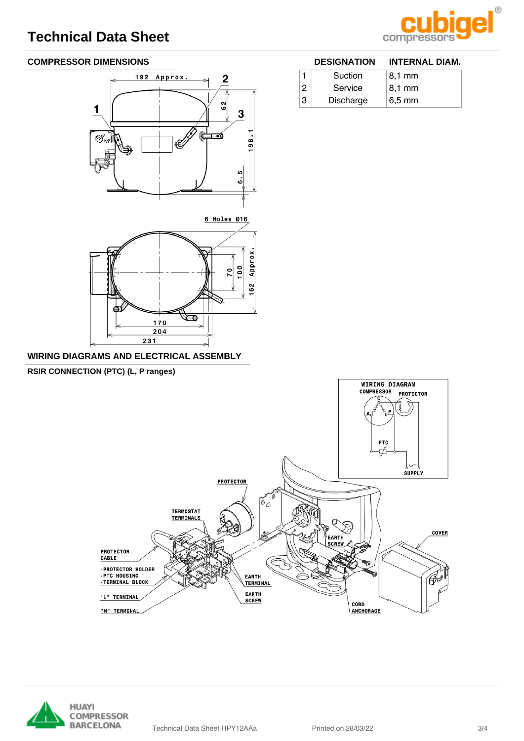

**DESIGNATION INTERNAL DIAM.**

1 Suction 8,1 mm  $2$  Service 8,1 mm 3 Discharge 6,5 mm

### **COMPRESSOR DIMENSIONS**



6 Holes Ø16



#### **WIRING DIAGRAMS AND ELECTRICAL ASSEMBLY**

**RSIR CONNECTION (PTC) (L, P ranges)**